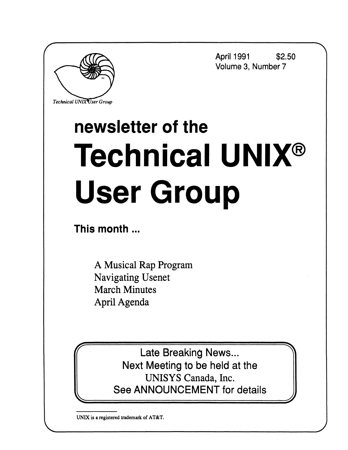

**April 1991 \$2.50 Volume 3, Number 7** 

# **newsletter of the Technical UNIX® User Group**

**This month ...** 

A Musical Rap Program Navigating Usenet March Minutes April Agenda

> Late Breaking News... Next Meeting to be held at the UNISYS Canada, Inc. See ANNOUNCEMENT for details

**UNIX is a registered trademark of AT&T.**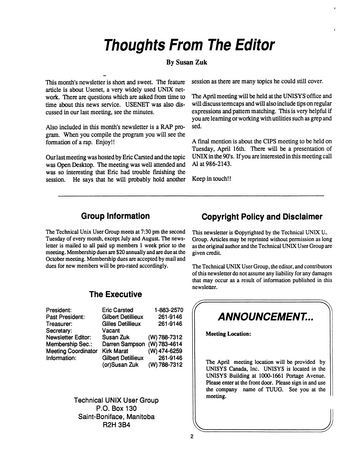# **Thoughts From The Editor**

#### **By Susan Zuk**

**This month's newsletter is short and sweet. The feature article is about Usenet, a very widely used UNIX network. There are questions which are asked from time to time about this news service. USENET was also discussed in our last meeting, see the minutes.** 

**Also included in this month's newsletter is a RAP program. When you compile the program you will see the formation of a rap. Enjoy!!** 

**Ourlastmeeting was hosted by Eric Carsted and the topic was Open Desktop. The meeting was well attended and was so interesting that Eric had trouble finishing the session. He says that he will probably hold another**  **session as there are many topics he could still cover.** 

**The April meeting will be held at the UNISYS office and will discuss termcaps and will also include tips on regular expressions and pattern matching. This is very helpful if you are learning or working with utilities such as grep and sed.** 

**A final mention is about the CIPS meeting to be held on Tuesday, April 16th. There will be a presentation of UNIX in the 90's. If you are interested in this meeting call Al at 986-2143.** 

**Keep in touch!!** 

## **Group Information**

**The Technical Unix User Group meets at 7:30 pm the second Tuesday of every month, except July and August. The newsletter is mailed to all paid up members 1 week prior to the meeting. Membership dues are \$20 annually and are due at the October meeting. Membership dues are accepted by mail and dues for new members will be pro-rated accordingly.** 

## **Copyright Policy and Disclaimer**

**This newsletter is ©opyrighted by the Technical UNIX IL Group. Articles may be reprinted without permission as long as the original author and the Technical UNIX User Group are given credit.** 

**The Technical UNIX User Group, the editor, and contributors of this newsletter do not assume any liability for any damages that may occur as a result of information published in this newsletter.** 

#### **President: Past President: Treasurer: Secretary: Newsletter Editor: Membership Sec: Meeting Coordinator Kirk Marat Information: Eric Carsted Gilbert Detillieux Gilles Detillieux Vacant Susan Zuk Darren Sampson (W) 783-4614 Gilbert Detillieux 1-883-2570 261-9146 261-9146 (W) 788-7312 (W) 474-6259 261-9146**

**(or)Susan Zuk** 

**The Executive** 

**Technical UNIX User Group P.O. Box 130 Saint-Boniface, Manitoba R2H 3B4** 



**(W) 788-7312**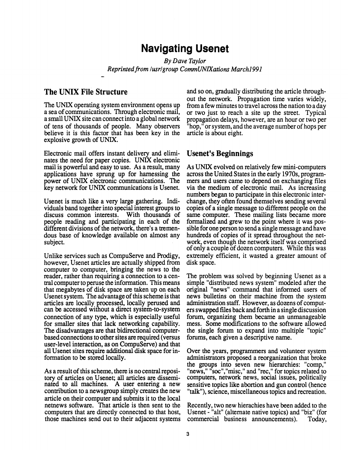## **Navigating Usenet**

*By Dave Taylor Reprinted from lusrlgroup CommUNIXations Marchl991* 

#### **The UNIX File Structure**

The UNIX operating system environment opens up a sea of communications. Through electronic mail, a small UNIX site can connect into a global network of tens of thousands of people. Many observers believe it is this factor that has been key in the explosive growth of UNIX.

Electronic mail offers instant delivery and elimi- **Usenet's Beginnings**  nates the need for paper copies. UNIX electronic mail is powerful and easy to use. As a result, many applications have sprung up for harnessing the power of UNIX electronic communications. The key network for UNIX communications is Usenet.

key network for UNIX communications is Usenet. Usenet is much like a very large gathering. Individuals band together into special interest groups to discuss common interests. With thousands of people reading and participating in each of the different divisions of the network, there's a tremendous base of knowledge available on almost any subject.

Unlike services such as CompuServe and Prodigy, however, Usenet articles are actually shipped from computer to computer, bringing the news to the reader, rather than requiring a connection to a central computer to peruse the information. This means that megabytes of disk space are taken up on each Usenet system. The advantage of this scheme is that articles are locally processed, locally perused and can be accessed without a direct system-to-system connection of any type, which is especially useful for smaller sites that lack networking capability. The disadvantages are that bidirectional computerbased connections to other sites are required (versus user-level interaction, as on CompuServe) and that all Usenet sites require additional disk space for information to be stored locally.

As a result of this scheme, there is no central repository of articles on Usenet; all articles are disseminated to all machines. A user entering a new contribution to a newsgroup simply creates the new article on their computer and submits it to the local netnews software. That article is then sent to the computers that are directly connected to that host, those machines send out to their adjacent systems and so on, gradually distributing the article throughout the network. Propagation time varies widely, from a few minutes to travel across the nation to a day or two just to reach a site up the street. Typical propagation delays, however, are an hour or two per "hop," or system, and the average number of hops per article is about eight.

As UNIX evolved on relatively few mini-computers across the United States in the early 1970s, programmers and users came to depend on exchanging files via the medium of electronic mail. As increasing numbers began to participate in this electronic interchange, they often found themselves sending several copies of a single message to different people on the same computer. These mailing lists became more formalized and grew to the point where it was possible for one person to send a single message and have hundreds of copies of it spread throughout the network, even though the network itself was comprised of only a couple of dozen computers. While this was extremely efficient, it wasted a greater amount of disk space.

The problem was solved by beginning Usenet as a simple "distributed news system" modeled after the original "news" command that informed users of news bulletins on their machine from the system administration staff. However, as dozens of computers swapped files back and forth in a single discussion forum, organizing them became an unmanageable mess. Some modifications to the software allowed the single forum to expand into multiple "topic" forums, each given a descriptive name.

Over the years, programmers and volunteer system administrators proposed a reorganization that broke the groups into seven new hierarchies: "comp," "news," "soc","misc," and "rec," for topics related to computers, network news, social issues, politically sensitive topics like abortion and gun control (hence "talk"), science, miscellaneous topics and recreation.

Recently, two new hierachies have been added to the Usenet - "alt" (alternate native topics) and "biz" (for commercial business announcements). Today,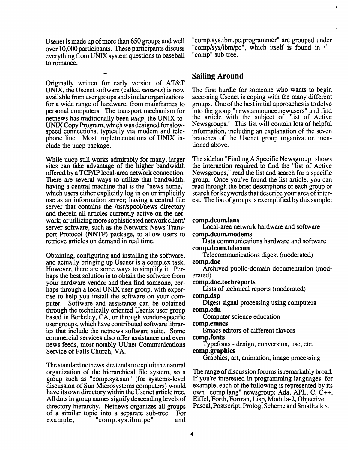Usenet is made up of more than 650 groups and well over 10,000 participants. These participants discuss everything from UNIX system questions to baseball to romance.

Originally written for early version of AT&T UNIX, the Usenet software (called *netnews)* is now available from user groups and similar organizations for a wide range of hardware, from mainframes to personal computers. The transport mechanism for netnews has traditionally been *uucp,* the UNIX-to-UNIX Copy Program, which was designed for slowspeed connections, typically via modem and telephone line. Most impletmentations of UNIX include the uucp package.

While uucp still works admirably for many, larger sites can take advantage of the higher bandwidth offered by a TCP/IP local-area network connection. There are several ways to utilize that bandwidth: having a central machine that is the "news home," which users either explicitly log in on or implicitly use as an information server, having a central file server that contains the /usr/spool/news directory and therein all articles currently active on the network; or utilizing more sophisticated network client/ server software, such as the Network News Transport Protocol (NNTP) package, to allow users to retrieve articles on demand in real time.

Obtaining, configuring and installing the software, and actually bringing up Usenet is a complex task. However, there are some ways to simplify it. Perhaps the best solution is to obtain the software from your hardware vendor and then find someone, perhaps through a local UNIX user group, with expertise to help you install the software on your computer. Software and assistance can be obtained through the technically oriented Usenix user group based in Berkeley, CA, or through vendor-specific user groups, which have contributed software libraries that include the netnews software suite. Some commercial services also offer assistance and even news feeds, most notably UUnet Communications Service of Falls Church, VA.

The standard netnews site tends to exploit the natural organization of the hierarchical file system, so a group such as "comp.sys.sun" (for systems-level discussion of Sun Microsystems computers) would have its own directory within the Usenet article tree. All dots in group names signify descending levels of directory hierarchy. Netnews organizes all groups of a similar topic into a separate sub-tree. For example, "comp.sys.ibm.pc" and

"comp.sys.ibm.pc.programmer" are grouped under "comp/sys/ibm/pc<sup>"</sup>, which itself is found in *f* "comp" sub-tree.

#### **Sailing Around**

The first hurdle for someone who wants to begin accessing Usenet is coping with the many different groups. One of the best initial approaches is to delve into the group "news.announce.newusers" and find the article with the subject of "list of Active Newsgroups." This list will contain lots of helpful information, including an explanation of the seven branches of the Usenet group organization mentioned above.

The sidebar "Finding A Specific Newsgroup" shows the interaction required to find the "list of Active Newsgroups," read the list and search for a specific group. Once you've found the list article, you can read through the brief descriptions of each group or search for keywords that describe your area of interest. The list of groups is exemplified by this sample:

#### **<comp.dcom.lans>**

Local-area network hardware and software **comp.dcom.modems** 

Data communications hardware and software **comp.dcom.telecom** 

Telecommunications digest (moderated) **comp.doc** 

Archived public-domain documentation (moderated)

**comp.doc.techreports** 

Lists of technical reports (moderated)

**comp.dsp** 

Digest signal processing using computers **<comp.edu>** 

Computer science education

**comp.emacs** 

Emacs editors of different flavors **comp.fonts** 

Typefonts - design, conversion, use, etc. **comp.graphics** 

Graphics, art, animation, image processing

The range of discussion forums is remarkably broad. If you're interested in programming languages, for example, each of the following is represented by its own "comp.lang" newsgroup: Ada, APL, C, C++, Eiffel, Forth, Fortran, Lisp, Modula-2, Objective Pascal, Postscript, Prolog, Scheme and Smalltalk  $\delta_{\sim}$ .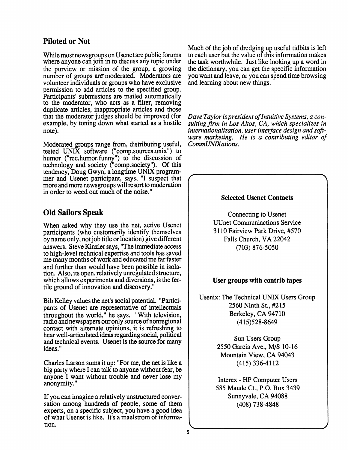#### **Piloted or Not**

While most newsgroups on Usenet are public forums where anyone can join in to discuss any topic under the purview or mission of the group, a growing number of groups are moderated. Moderators are volunteer individuals or groups who have exclusive permission to add articles to the specified group. Participants' submissions are mailed automatically to the moderator, who acts as a filter, removing duplicate articles, inappropriate articles and those that the moderator judges should be improved (for example, by toning down what started as a hostile note).

Moderated groups range from, distributing useful, tested UNIX software ("comp.sources.unix") to humor ("rec.humor.funny") to the discussion of technology and society ("comp.society"). Of this tendency, Doug Gwyn, a longtime UNIX programmer and Usenet participant, says, "I suspect that more and more newsgroups will resort to moderation in order to weed out much of the noise."

### **Old Sailors Speak**

When asked why they use the net, active Usenet participants (who customarily identify themselves by name only, not job tide or location) give different answers. Steve Kinzler says, "The immediate access to high-level technical expertise and tools has saved me many months of work and educated me far faster and further than would have been possible in isolation. Also, its open, relatively unregulated structure, which allows experiments and diversions, is the fertile ground of innovation and discovery."

Bib Kelley values the net's social potential. "Participants of Usenet are representative of intellectuals throughout the world," he says. "With television, radio and newspapers our only source of nonregional contact with alternate opinions, it is refreshing to hear well-articulated ideas regarding social, political and technical events. Usenet is the source for many ideas."

Charles Larson sums it up: "For me, the net is like a big party where I can talk to anyone without fear, be anyone I want without trouble and never lose my anonymity."

If you can imagine a relatively unstructured conversation among hundreds of people, some of them experts, on a specific subject, you have a good idea of what Usenet is like. It's a maelstrom of information.

Much of the job of dredging up useful tidbits is left to each user but the value of this information makes the task worthwhile. Just like looking up a word in the dictionary, you can get the specific information you want and leave, or you can spend time browsing and learning about new things.

*Dave Taylor is president of Intuitive Systems, a consuiting firm in Los Altos, CA, which specializes in internationalization, user interface design and software marketing. He is a contributing editor of CommUNIXations.* 

#### **Selected Usenet Contacts**

**r**  $\overline{\phantom{a}}$ 

Connecting to Usenet UUnet Communiactions Service 3110 Fairview Park Drive, #570 Falls Church, VA 22042 (703) 876-5050

#### **User groups with contrib tapes**

Usenix: The Technical UNIX Users Group 2560 Ninth St., #215 Berkeley, CA 94710 (415)528-8649

> Sun Users Group 2550 Garcia Ave., M/S 10-16 Mountain View, CA 94043 (415)336-4112

Interex - HP Computer Users 585 Maude Ct., P.O. Box 3439 Sunnyvale, CA 94088 (408) 738-4848

**V** *J*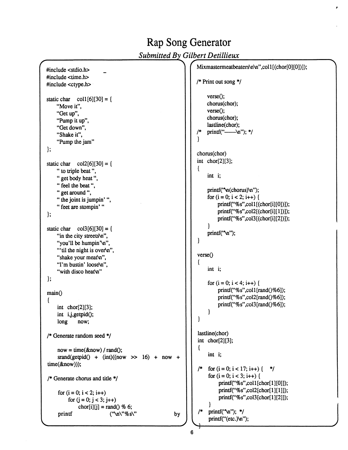#### *Submitted By Gilbert Detillieux*  **#include <stdio.h> #include <time.h> #include <ctype.h> static char coll [6][30] = { "Move it", "Get up", "Pump it up", "Get down", "Shake it", "Pump the jam" }; static char col2[6][30] = { " to triple beat", "get body heat", "feel the beat", " get around ",**  " the joint is jumpin'", **" feet are stompin' " }; static char col3[6][30]= { "in the city streets\n",**  "you'll be humpin"\n", "'til the night is over'n", **"shake your meat\n",**  "I'm bustin' loose\n", "with disco heat\n" **};**  main<sup>()</sup> **{ int chor[2][3]; int ij,getpidO; long now; /\* Generate random seed \*/ now = time(&now) / randO;**   $\text{grand}(\text{getpid}() + (\text{int})((\text{now} \gt) > 16) + \text{now} +$ **time(&now))); /\* Generate chorus and title \*/ for (i = 0; i < 2; i++) for (j = 0; j < 3; j++)**   $\text{chor}[i][j] = \text{rand}(0 \% 6;$  $print$  ("\n\"%s\" **by**

#### Mixmastermeatbeaters\n\n",col1[(chor[0][0])]); **/\* Print out song \*/**   $verse$ **)**; **chorus(chor);**  verse(); **chorus(chor); lastline(chor);**  /\* printf("-----\n"); \*/ **} chorus(chor) int chor[2][3]; { int i;**  printf("\n(chorus)\n"); for  $(i = 0; i < 2; i++)$  { **printf("%s",coll[(chor[i][0])]); printf("%s",col2[(chor[i][l])]); printf("%s",col3[(chor[i][2])]); }**   $print("\\n$ "); **}**  verse() **{ int I;**  for  $(i = 0; i < 4; i++)$  { **printf("%s",coll[rand()%6]); printf("%s",col2[rand()%6]); printf("%s",col3[rand()%6]); } } lastline(chor) int chor[2][3]; { int i;**   $\frac{1}{2}$  for (i = 0; i < 17; i++) {  $\frac{1}{2}$ **/\***  for  $(i = 0; i < 3; i++)$  { **printf("%s",coll[chor[l][0]]); printf("%s",col2[chor[l][l]]); printf("%s",col3[chor[l][2]]); }**   $print("\\n";$  \*/ **printf("(etc.)\n");**

Rap Song Generator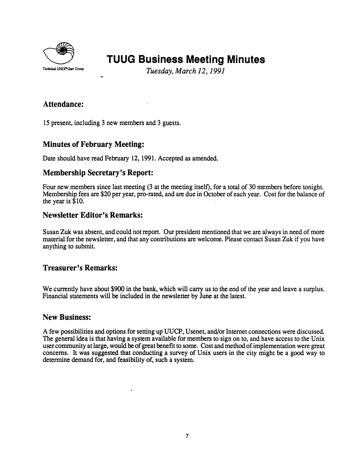

# **TUUG Business Meeting Minutes**

*Tuesday, March 12,1991* 

#### **Attendance:**

**15 present, including 3 new members and 3 guests.** 

#### **Minutes of February Meeting:**

**Date should have read February 12,1991. Accepted as amended.** 

#### **Membership Secretary's Report:**

Four new members since last meeting (3 at the meeting itself), for a total of 30 members before tonight. **Membership fees are \$20 per year, pro-rated, and are due in October of each year. Cost for the balance of the year is \$10.** 

#### **Newsletter Editor's Remarks:**

**Susan Zuk was absent, and could not report. Our president mentioned that we are always in need of more material for the newsletter, and that any contributions are welcome. Please contact Susan Zuk if you have anything to submit.** 

### **Treasurer's Remarks:**

We currently have about \$900 in the bank, which will carry us to the end of the year and leave a surplus. **Financial statements will be included in the newsletter by June at the latest.** 

#### **New Business:**

**A few possibilities and options for setting up UUCP, Usenet, and/or Internet connections were discussed. The general idea is that having a system available for members to sign on to, and have access to the Unix user community at large, would be of great benefit to some. Cost and method of implementation were great concerns. It was suggested that conducting a survey of Unix users in the city might be a good way to determine demand for, and feasibility of, such a system.**